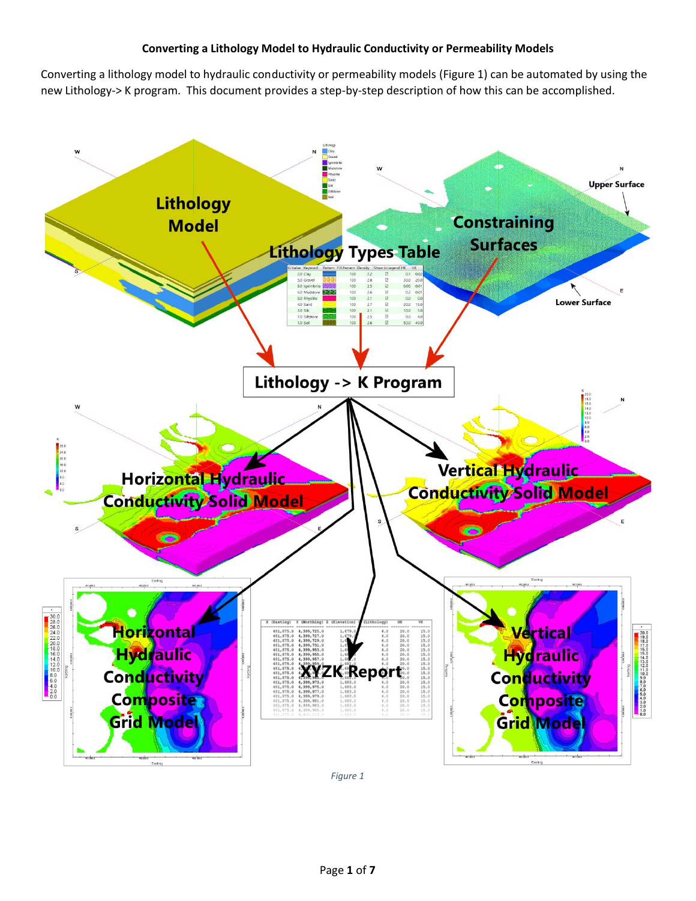## **Converting a Lithology Model to Hydraulic Conductivity or Permeability Models**

Converting a lithology model to hydraulic conductivity or permeability models [\(Figure 1\)](#page-0-0) can be automated by using the new Lithology-> K program. This document provides a step-by-step description of how this can be accomplished.



<span id="page-0-0"></span>*Figure 1*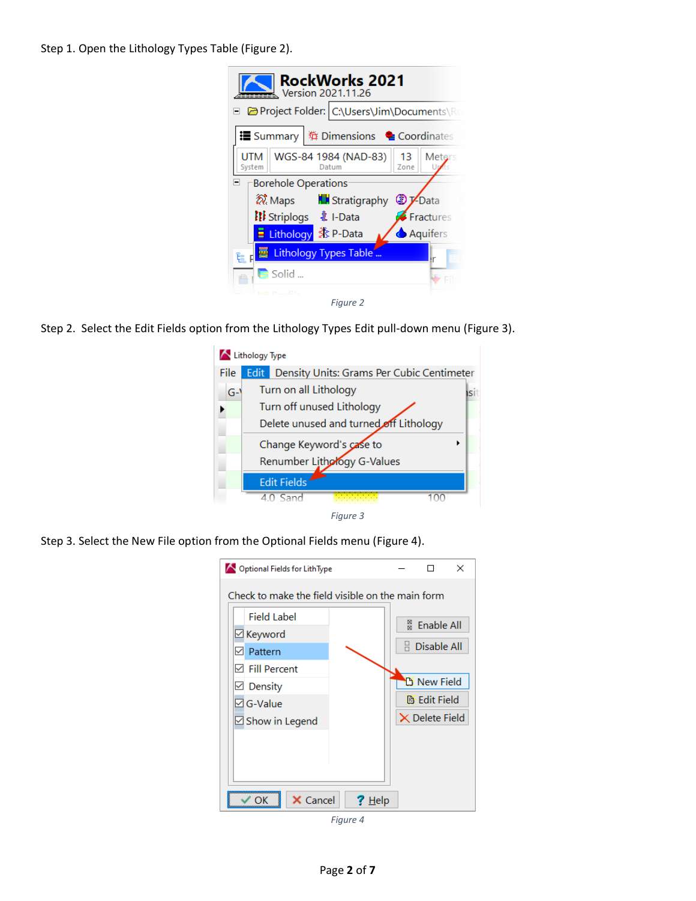Step 1. Open the Lithology Types Table [\(Figure 2\)](#page-1-0).

| <b>RockWorks 2021</b><br>$\leq$ Version 2021.11.26                     |  |  |  |  |  |  |  |  |  |
|------------------------------------------------------------------------|--|--|--|--|--|--|--|--|--|
| Project Folder: C:\Users\Jim\Documents\Ro                              |  |  |  |  |  |  |  |  |  |
| <b>■ Summary </b> ( 难 Dimensions ● Coordinates                         |  |  |  |  |  |  |  |  |  |
| WGS-84 1984 (NAD-83)<br>UTM<br>13<br>Meters<br>System<br>Zone<br>Datum |  |  |  |  |  |  |  |  |  |
| <b>Borehole Operations</b><br>⊟                                        |  |  |  |  |  |  |  |  |  |
| <i>ત્રિ</i> : Maps<br><b>N</b> Stratigraphy<br><b>D</b> VData          |  |  |  |  |  |  |  |  |  |
| <b>III</b> Striplogs <b>主</b> I-Data<br><b>Fractures</b>               |  |  |  |  |  |  |  |  |  |
| <b>Aquifers</b>                                                        |  |  |  |  |  |  |  |  |  |
| Lithology Types Table<br>尾目<br>١r                                      |  |  |  |  |  |  |  |  |  |
| $\blacksquare$ Solid                                                   |  |  |  |  |  |  |  |  |  |
| $= 0.54$<br>Figure 2                                                   |  |  |  |  |  |  |  |  |  |

<span id="page-1-0"></span>Step 2. Select the Edit Fields option from the Lithology Types Edit pull-down menu [\(Figure 3\)](#page-1-1).



<span id="page-1-2"></span><span id="page-1-1"></span>Step 3. Select the New File option from the Optional Fields menu [\(Figure 4\)](#page-1-2).

| Optional Fields for LithType                     |  |                   | ×                     |  |  |  |  |  |  |
|--------------------------------------------------|--|-------------------|-----------------------|--|--|--|--|--|--|
| Check to make the field visible on the main form |  |                   |                       |  |  |  |  |  |  |
| Field Label                                      |  | <b>Enable All</b> |                       |  |  |  |  |  |  |
| ⊠ Keyword                                        |  |                   | 쯾                     |  |  |  |  |  |  |
| Pattern<br>✓                                     |  |                   | Disable All           |  |  |  |  |  |  |
| $\boxdot$ Fill Percent                           |  |                   |                       |  |  |  |  |  |  |
| Density<br>$\checkmark$                          |  |                   | $\mathbb A$ New Field |  |  |  |  |  |  |
| $\boxdot$ G-Value                                |  |                   | <b>B</b> Edit Field   |  |  |  |  |  |  |
| $\boxdot$ Show in Legend                         |  |                   | $\times$ Delete Field |  |  |  |  |  |  |
|                                                  |  |                   |                       |  |  |  |  |  |  |
|                                                  |  |                   |                       |  |  |  |  |  |  |
|                                                  |  |                   |                       |  |  |  |  |  |  |
|                                                  |  |                   |                       |  |  |  |  |  |  |
| X Cancel<br>$He$ lp<br>,,,,,,,,,,,,,,,,,,,,,,,,, |  |                   |                       |  |  |  |  |  |  |

*Figure 4*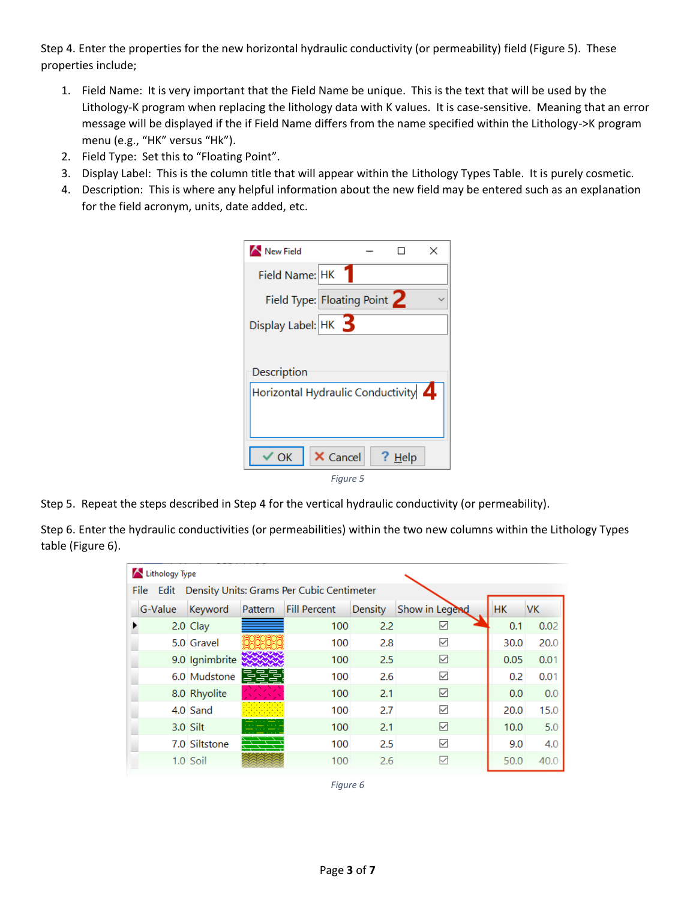Step 4. Enter the properties for the new horizontal hydraulic conductivity (or permeability) field [\(Figure 5\)](#page-2-0). These properties include;

- 1. Field Name: It is very important that the Field Name be unique. This is the text that will be used by the Lithology-K program when replacing the lithology data with K values. It is case-sensitive. Meaning that an error message will be displayed if the if Field Name differs from the name specified within the Lithology->K program menu (e.g., "HK" versus "Hk").
- 2. Field Type: Set this to "Floating Point".
- 3. Display Label: This is the column title that will appear within the Lithology Types Table. It is purely cosmetic.
- 4. Description: This is where any helpful information about the new field may be entered such as an explanation for the field acronym, units, date added, etc.

| New Field                                          |          |        | × |
|----------------------------------------------------|----------|--------|---|
| Field Name: HK                                     |          |        |   |
| Field Type: Floating Point 2                       |          |        |   |
| Display Label: $HK$ 3                              |          |        |   |
| Description<br>Horizontal Hydraulic Conductivity 4 |          |        |   |
| ′ OK                                               | X Cancel | ? Help |   |
|                                                    | Figure 5 |        |   |

<span id="page-2-0"></span>Step 5. Repeat the steps described in Step 4 for the vertical hydraulic conductivity (or permeability).

Step 6. Enter the hydraulic conductivities (or permeabilities) within the two new columns within the Lithology Types table [\(Figure 6\)](#page-2-1).

<span id="page-2-1"></span>

|                                                     | Lithology Type |                |         |                     |         |                 |           |           |
|-----------------------------------------------------|----------------|----------------|---------|---------------------|---------|-----------------|-----------|-----------|
| File Edit Density Units: Grams Per Cubic Centimeter |                |                |         |                     |         |                 |           |           |
|                                                     | G-Value        | Keyword        | Pattern | <b>Fill Percent</b> | Density | Show in Legend  | <b>HK</b> | <b>VK</b> |
|                                                     |                | 2.0 Clay       |         | 100                 | 2.2     | $\triangledown$ | 0.1       | 0.02      |
|                                                     |                | 5.0 Gravel     |         | 100                 | 2.8     | ✓               | 30.0      | 20.0      |
|                                                     |                | 9.0 Ignimbrite |         | 100                 | 2.5     | ☑               | 0.05      | 0.01      |
|                                                     |                | 6.0 Mudstone   | --      | 100                 | 2.6     | ✓               | 0.2       | 0.01      |
|                                                     |                | 8.0 Rhyolite   |         | 100                 | 2.1     | ☑               | 0.0       | 0.0       |
|                                                     |                | 4.0 Sand       |         | 100                 | 2.7     | ☑               | 20.0      | 15.0      |
|                                                     |                | 3.0 Silt       |         | 100                 | 2.1     | ☑               | 10.0      | 5.0       |
|                                                     |                | 7.0 Siltstone  |         | 100                 | 2.5     | ☑               | 9.0       | 4.0       |
|                                                     |                | $1.0$ Soil     |         | 100                 | 2.6     |                 | 50.0      | 40.0      |

*Figure 6*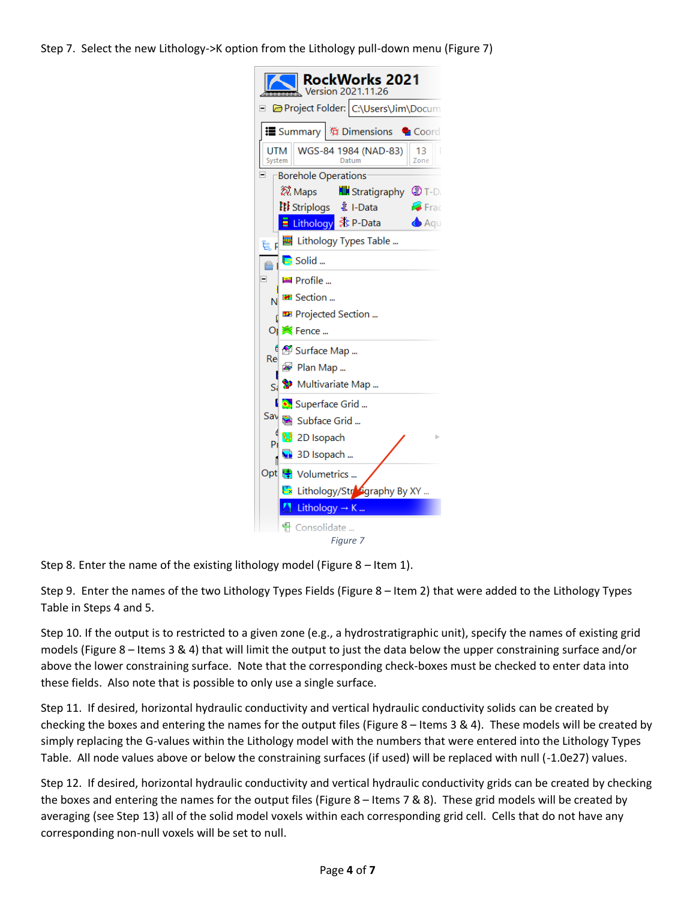Step 7. Select the new Lithology->K option from the Lithology pull-down menu [\(Figure 7\)](#page-3-0)

| RockWorks 2021<br>Version 2021.11.26                         |
|--------------------------------------------------------------|
| Project Folder: C:\Users\Jim\Docum                           |
| <b>. Summary │ 辩 Dimensions</b> ● Coord                      |
| WGS-84 1984 (NAD-83)<br>13<br>ITM<br>System<br>Zone<br>Datum |
| <b>Borehole Operations</b>                                   |
| શિ. Maps<br><b>ILI</b> Stratigraphy <b>C</b> T-D             |
| 【【【i Striplogs ま I-Data<br><b>P</b> Frac                     |
| <b>Aqu</b>                                                   |
| Lithology Types Table<br>៊ុដ                                 |
| $\blacksquare$ Solid<br>A                                    |
| ⊟<br>복 Profile                                               |
| <b>Exection</b>                                              |
| <b>E</b> Projected Section                                   |
| OI <b>※</b> Fence                                            |
| <sup>6</sup> ② Surface Map<br>Re                             |
| B Plan Map                                                   |
| Multivariate Map<br>ç,                                       |
| L C. Superface Grid                                          |
| Sav Subface Grid                                             |
| 2D Isopach<br>p,                                             |
| 3D Isopach                                                   |
| Opt <b>F</b> Volumetrics                                     |
| Lithology/Strography By XY                                   |
| Lithology $\rightarrow$ K                                    |
| Consolidate                                                  |
| Figure 7                                                     |

<span id="page-3-0"></span>Step 8. Enter the name of the existing lithology model [\(Figure 8](#page-4-0) – Item 1).

Step 9. Enter the names of the two Lithology Types Fields [\(Figure 8](#page-4-0) – Item 2) that were added to the Lithology Types Table in Steps 4 and 5.

Step 10. If the output is to restricted to a given zone (e.g., a hydrostratigraphic unit), specify the names of existing grid models [\(Figure 8](#page-4-0) – Items 3 & 4) that will limit the output to just the data below the upper constraining surface and/or above the lower constraining surface. Note that the corresponding check-boxes must be checked to enter data into these fields. Also note that is possible to only use a single surface.

Step 11. If desired, horizontal hydraulic conductivity and vertical hydraulic conductivity solids can be created by checking the boxes and entering the names for the output files [\(Figure 8](#page-4-0) – Items 3 & 4). These models will be created by simply replacing the G-values within the Lithology model with the numbers that were entered into the Lithology Types Table. All node values above or below the constraining surfaces (if used) will be replaced with null (-1.0e27) values.

Step 12. If desired, horizontal hydraulic conductivity and vertical hydraulic conductivity grids can be created by checking the boxes and entering the names for the output files [\(Figure 8](#page-4-0) – Items 7 & 8). These grid models will be created by averaging (see Step 13) all of the solid model voxels within each corresponding grid cell. Cells that do not have any corresponding non-null voxels will be set to null.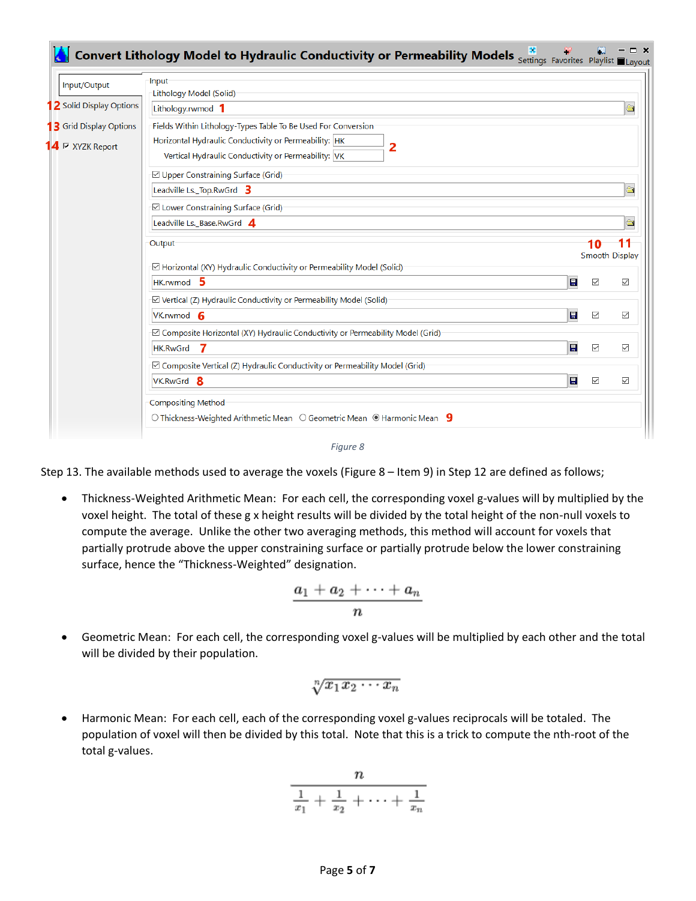| Input/Output                    | Input<br>Lithology Model (Solid)                                                                                  |                      |                                                   |
|---------------------------------|-------------------------------------------------------------------------------------------------------------------|----------------------|---------------------------------------------------|
| 2 Solid Display Options         | Lithology.rwmod 1                                                                                                 |                      | $\frac{\partial \mathbf{y}}{\partial \mathbf{z}}$ |
| <b>3</b> Grid Display Options   | Fields Within Lithology-Types Table To Be Used For Conversion                                                     |                      |                                                   |
| $14 \triangleright$ XYZK Report | Horizontal Hydraulic Conductivity or Permeability: HK<br>2<br>Vertical Hydraulic Conductivity or Permeability: VK |                      |                                                   |
|                                 | <b>☑</b> Upper Constraining Surface (Grid)                                                                        |                      |                                                   |
|                                 | Leadville Ls. Top.RwGrd 3                                                                                         |                      | $\triangleq$                                      |
|                                 | <b>⊠</b> Lower Constraining Surface (Grid)                                                                        |                      |                                                   |
|                                 | Leadville Ls._Base.RwGrd 4                                                                                        |                      | $\frac{1}{2}$                                     |
|                                 | Output                                                                                                            | 10<br>Smooth Display |                                                   |
|                                 | ⊡ Horizontal (XY) Hydraulic Conductivity or Permeability Model (Solid)                                            |                      |                                                   |
|                                 | $HK.$ rwmod 5<br>$\blacksquare$                                                                                   | $\overline{\smile}$  | $\checkmark$                                      |
|                                 | ☑ Vertical (Z) Hydraulic Conductivity or Permeability Model (Solid)                                               |                      |                                                   |
|                                 | $\blacksquare$<br>VK.rwmod 6                                                                                      | $\checkmark$         | $\checkmark$                                      |
|                                 | ⊡ Composite Horizontal (XY) Hydraulic Conductivity or Permeability Model (Grid)                                   |                      |                                                   |
|                                 | $\blacksquare$<br><b>HK.RwGrd</b><br>- 7                                                                          | $\checkmark$         | $\checkmark$                                      |
|                                 | ⊡ Composite Vertical (Z) Hydraulic Conductivity or Permeability Model (Grid)                                      |                      |                                                   |
|                                 | $\blacksquare$<br>VK.RwGrd 8                                                                                      | $\checkmark$         | $\checkmark$                                      |
|                                 | <b>Compositing Method</b>                                                                                         |                      |                                                   |
|                                 | $\circ$ Thickness-Weighted Arithmetic Mean $\circ$ Geometric Mean $\circ$ Harmonic Mean $\cdot$ 9                 |                      |                                                   |



<span id="page-4-0"></span>Step 13. The available methods used to average the voxels [\(Figure 8](#page-4-0) – Item 9) in Step 12 are defined as follows;

• Thickness-Weighted Arithmetic Mean: For each cell, the corresponding voxel g-values will by multiplied by the voxel height. The total of these g x height results will be divided by the total height of the non-null voxels to compute the average. Unlike the other two averaging methods, this method will account for voxels that partially protrude above the upper constraining surface or partially protrude below the lower constraining surface, hence the "Thickness-Weighted" designation.

$$
\frac{a_1+a_2+\cdots+a_n}{n}
$$

• Geometric Mean: For each cell, the corresponding voxel g-values will be multiplied by each other and the total will be divided by their population.

$$
\sqrt[n]{x_1x_2\cdots x_n}
$$

• Harmonic Mean: For each cell, each of the corresponding voxel g-values reciprocals will be totaled. The population of voxel will then be divided by this total. Note that this is a trick to compute the nth-root of the total g-values.

$$
\frac{n}{\frac{1}{x_1}+\frac{1}{x_2}+\cdots+\frac{1}{x_n}}
$$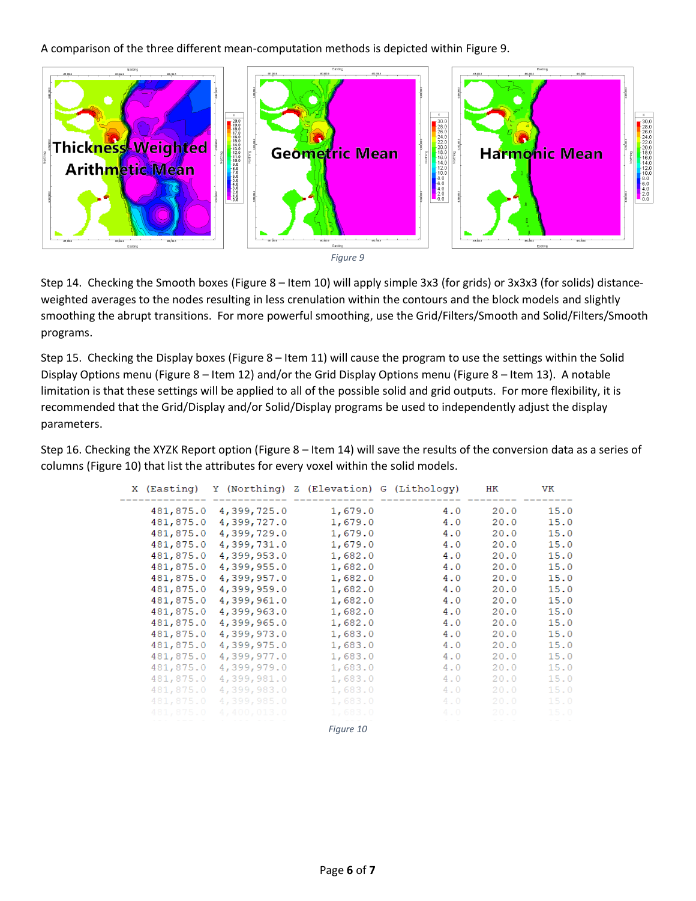A comparison of the three different mean-computation methods is depicted within [Figure 9.](#page-5-0)





<span id="page-5-0"></span>Step 14. Checking the Smooth boxes [\(Figure 8](#page-4-0) – Item 10) will apply simple 3x3 (for grids) or 3x3x3 (for solids) distanceweighted averages to the nodes resulting in less crenulation within the contours and the block models and slightly smoothing the abrupt transitions. For more powerful smoothing, use the Grid/Filters/Smooth and Solid/Filters/Smooth programs.

Step 15. Checking the Display boxes [\(Figure 8](#page-4-0) – Item 11) will cause the program to use the settings within the Solid Display Options menu [\(Figure 8](#page-4-0) – Item 12) and/or the Grid Display Options menu [\(Figure 8](#page-4-0) – Item 13). A notable limitation is that these settings will be applied to all of the possible solid and grid outputs. For more flexibility, it is recommended that the Grid/Display and/or Solid/Display programs be used to independently adjust the display parameters.

Step 16. Checking the XYZK Report option [\(Figure 8](#page-4-0) – Item 14) will save the results of the conversion data as a series of columns [\(Figure 10\)](#page-5-1) that list the attributes for every voxel within the solid models.

<span id="page-5-1"></span>

|           | X (Easting) Y (Northing) Z (Elevation) G (Lithology) |           |     | HК   | VK   |
|-----------|------------------------------------------------------|-----------|-----|------|------|
| 481,875.0 | 4,399,725.0                                          | 1,679.0   | 4.0 | 20.0 | 15.0 |
| 481,875.0 | 4,399,727.0                                          | 1,679.0   | 4.0 | 20.0 | 15.0 |
| 481,875.0 | 4,399,729.0                                          | 1,679.0   | 4.0 | 20.0 | 15.0 |
| 481,875.0 | 4,399,731.0                                          | 1,679.0   | 4.0 | 20.0 | 15.0 |
| 481,875.0 | 4,399,953.0                                          | 1,682.0   | 4.0 | 20.0 | 15.0 |
| 481,875.0 | 4,399,955.0                                          | 1,682.0   | 4.0 | 20.0 | 15.0 |
| 481,875.0 | 4,399,957.0                                          | 1,682.0   | 4.0 | 20.0 | 15.0 |
| 481,875.0 | 4,399,959.0                                          | 1,682.0   | 4.0 | 20.0 | 15.0 |
| 481,875.0 | 4,399,961.0                                          | 1,682.0   | 4.0 | 20.0 | 15.0 |
| 481,875.0 | 4,399,963.0                                          | 1,682.0   | 4.0 | 20.0 | 15.0 |
| 481,875.0 | 4,399,965.0                                          | 1,682.0   | 4.0 | 20.0 | 15.0 |
| 481,875.0 | 4,399,973.0                                          | 1,683.0   | 4.0 | 20.0 | 15.0 |
| 481,875.0 | 4,399,975.0                                          | 1,683.0   | 4.0 | 20.0 | 15.0 |
| 481,875.0 | 4,399,977.0                                          | 1,683.0   | 4.0 | 20.0 | 15.0 |
| 481,875.0 | 4,399,979.0                                          | 1,683.0   | 4.0 | 20.0 | 15.0 |
| 481,875.0 | 4,399,981.0                                          | 1,683.0   | 4.0 | 20.0 | 15.0 |
| 481,875.0 | 4,399,983.0                                          | 1,683.0   | 4.0 | 20.0 | 15.0 |
| 481,875.0 | 4,399,985.0                                          | 1,683.0   | 4.0 | 20.0 | 15.0 |
| 481,875.0 | 4,400,013.0                                          | 1,683.0   | 4.0 | 20.0 | 15.0 |
|           |                                                      | Figure 10 |     |      |      |